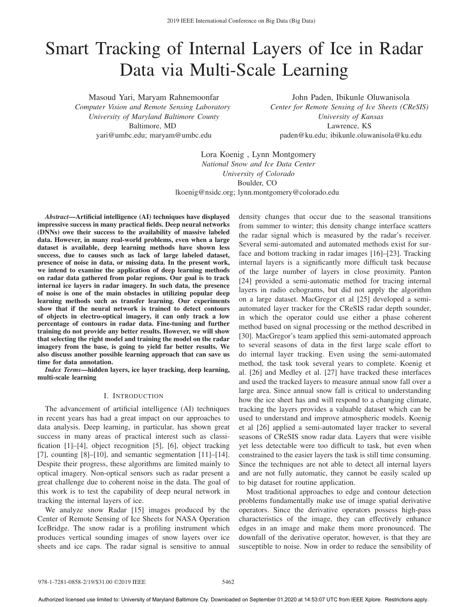# Smart Tracking of Internal Layers of Ice in Radar Data via Multi-Scale Learning

Masoud Yari, Maryam Rahnemoonfar *Computer Vision and Remote Sensing Laboratory University of Maryland Baltimore County* Baltimore, MD yari@umbc.edu; maryam@umbc.edu

John Paden, Ibikunle Oluwanisola *Center for Remote Sensing of Ice Sheets (CReSIS) University of Kansas* Lawrence, KS paden@ku.edu; ibikunle.oluwanisola@ku.edu

Lora Koenig , Lynn Montgomery *National Snow and Ice Data Center University of Colorado* Boulder, CO lkoenig@nsidc.org; lynn.montgomery@colorado.edu

*Abstract*—Artificial intelligence (AI) techniques have displayed impressive success in many practical fields. Deep neural networks (DNNs) owe their success to the availability of massive labeled data. However, in many real-world problems, even when a large dataset is available, deep learning methods have shown less success, due to causes such as lack of large labeled dataset, presence of noise in data, or missing data. In the present work, we intend to examine the application of deep learning methods on radar data gathered from polar regions. Our goal is to track internal ice layers in radar imagery. In such data, the presence of noise is one of the main obstacles in utilizing popular deep learning methods such as transfer learning. Our experiments show that if the neural network is trained to detect contours of objects in electro-optical imagery, it can only track a low percentage of contours in radar data. Fine-tuning and further training do not provide any better results. However, we will show that selecting the right model and training the model on the radar imagery from the base, is going to yield far better results. We also discuss another possible learning approach that can save us time for data annotation.

*Index Terms*—hidden layers, ice layer tracking, deep learning, multi-scale learning

## I. INTRODUCTION

The advancement of artificial intelligence (AI) techniques in recent years has had a great impact on our approaches to data analysis. Deep learning, in particular, has shown great success in many areas of practical interest such as classification [1]–[4], object recognition [5], [6], object tracking [7], counting  $[8]$ –[10], and semantic segmentation  $[11]$ –[14]. Despite their progress, these algorithms are limited mainly to optical imagery. Non-optical sensors such as radar present a great challenge due to coherent noise in the data. The goal of this work is to test the capability of deep neural network in tracking the internal layers of ice.

We analyze snow Radar [15] images produced by the Center of Remote Sensing of Ice Sheets for NASA Operation IceBridge. The snow radar is a profiling instrument which produces vertical sounding images of snow layers over ice sheets and ice caps. The radar signal is sensitive to annual density changes that occur due to the seasonal transitions from summer to winter; this density change interface scatters the radar signal which is measured by the radar's receiver. Several semi-automated and automated methods exist for surface and bottom tracking in radar images [16]–[23]. Tracking internal layers is a significantly more difficult task because of the large number of layers in close proximity. Panton [24] provided a semi-automatic method for tracing internal layers in radio echograms, but did not apply the algorithm on a large dataset. MacGregor et al [25] developed a semiautomated layer tracker for the CReSIS radar depth sounder, in which the operator could use either a phase coherent method based on signal processing or the method described in [30]. MacGregor's team applied this semi-automated approach to several seasons of data in the first large scale effort to do internal layer tracking. Even using the semi-automated method, the task took several years to complete. Koenig et al. [26] and Medley et al. [27] have tracked these interfaces and used the tracked layers to measure annual snow fall over a large area. Since annual snow fall is critical to understanding how the ice sheet has and will respond to a changing climate, tracking the layers provides a valuable dataset which can be used to understand and improve atmospheric models. Koenig et al [26] applied a semi-automated layer tracker to several seasons of CReSIS snow radar data. Layers that were visible yet less detectable were too difficult to task, but even when constrained to the easier layers the task is still time consuming. Since the techniques are not able to detect all internal layers and are not fully automatic, they cannot be easily scaled up to big dataset for routine application.

Most traditional approaches to edge and contour detection problems fundamentally make use of image spatial derivative operators. Since the derivative operators possess high-pass characteristics of the image, they can effectively enhance edges in an image and make them more pronounced. The downfall of the derivative operator, however, is that they are susceptible to noise. Now in order to reduce the sensibility of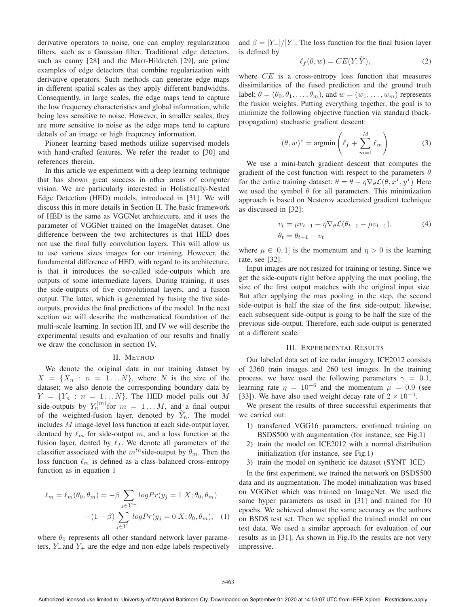derivative operators to noise, one can employ regularization filters, such as a Gaussian filter. Traditional edge detectors, such as canny [28] and the Marr-Hildretch [29], are prime examples of edge detectors that combine regularization with derivative operators. Such methods can generate edge maps in different spatial scales as they apply different bandwidths. Consequently, in large scales, the edge maps tend to capture the low frequency characteristics and global information, while being less sensitive to noise. However, in smaller scales, they are more sensitive to noise as the edge maps tend to capture details of an image or high frequency information.

Pioneer learning based methods utilize supervised models with hand-crafted features. We refer the reader to [30] and references therein.

In this article we experiment with a deep learning technique that has shown great success in other areas of computer vision. We are particularly interested in Holistically-Nested Edge Detection (HED) models, introduced in [31]. We will discuss this in more details in Section II. The basic framework of HED is the same as VGGNet architecture, and it uses the parameter of VGGNet trained on the ImageNet dataset. One difference between the two architectures is that HED does not use the final fully convolution layers. This will allow us to use various sizes images for our training. However, the fundamental difference of HED, with regard to its architecture, is that it introduces the so-called side-outputs which are outputs of some intermediate layers. During training, it uses the side-outputs of five convolutional layers, and a fusion output. The latter, which is generated by fusing the five sideoutputs, provides the final predictions of the model. In the next section we will describe the mathematical foundation of the multi-scale learning. In section III, and IV we will describe the experimental results and evaluation of our results and finally we draw the conclusion in section IV.

### II. METHOD

We denote the original data in our training dataset by  $X = \{X_n : n = 1...N\}$ , where N is the size of the dataset; we also denote the corresponding boundary data by  $Y = \{Y_n : n = 1...N\}$ . The HED model pulls out M side-outputs by  $Y_n^{(m)}$  for  $m = 1...M$ , and a final output of the weighted-fusion layer, denoted by  $Y_n$ . The model<br>includes M image-level loss function at each side-output layer includes M image-level loss function at each side-output layer, dentoed by  $\ell_m$  for side-output m, and a loss function at the fusion layer dented by  $\ell_s$ . We denote all parameters of the fusion layer, dented by  $\ell_f$ . We denote all parameters of the classifier associated with the  $m^{th}$  side-output by  $\theta$ . Then the classifier associated with the  $m^{th}$  side-output by  $\theta_m$ . Then the loss function  $\ell_m$  is defined as a class-balanced cross-entropy<br>function as in equation 1 function as in equation 1

$$
\ell_m = \ell_m(\theta_0, \theta_m) = -\beta \sum_{j \in Y^+} logPr(y_j = 1 | X; \theta_0, \theta_m)
$$

$$
- (1 - \beta) \sum_{j \in Y_-} logPr(y_j = 0 | X; \theta_0, \theta_m), \quad (1)
$$

where  $\theta_0$  represents all other standard network layer parameters,  $Y_$  and  $Y_+$  are the edge and non-edge labels respectively and  $\beta = |Y_-|/|Y|$ . The loss function for the final fusion layer is defined by

l

$$
f(\theta, w) = CE(Y, Y), \tag{2}
$$

where  $CE$  is a cross-entropy loss function that measures dissimilarities of the fused prediction and the ground truth label;  $\theta = (\theta_0, \theta_1, \dots, \theta_m)$ , and  $w = (w_1, \dots, w_m)$  represents the fusion weights. Putting everything together, the goal is to minimize the following objective function via standard (backpropagation) stochastic gradient descent:

$$
(\theta, w)^* = \operatorname{argmin}\left(\ell_f + \sum_{m=1}^M \ell_m\right) \tag{3}
$$

We use a mini-batch gradient descent that computes the gradient of the cost function with respect to the parameters  $\theta$ for the entire training dataset:  $\theta = \theta - \eta \nabla_{\theta} \mathcal{L}(\theta, x^I, y^I)$  Here we used the symbol  $\theta$  for all parameters. This minimization approach is based on Nesterov accelerated gradient technique as discussed in [32]:

$$
v_t = \mu v_{t-1} + \eta \nabla_{\theta} \mathcal{L}(\theta_{t-1} - \mu v_{t-1}),
$$
  
\n
$$
\theta_t = \theta_{t-1} - v_t
$$
\n(4)

where  $\mu \in [0, 1]$  is the momentum and  $\eta > 0$  is the learning rate, see [32].

Input images are not resized for training or testing. Since we get the side-ouputs right before applying the max pooling, the size of the first output matches with the original input size. But after applying the max pooling in the step, the second side-output is half the size of the first side-output; likewise, each subsequent side-output is going to be half the size of the previous side-output. Therefore, each side-output is generated at a different scale.

#### III. EXPERIMENTAL RESULTS

Our labeled data set of ice radar imagery, ICE2012 consists of 2360 train images and 260 test images. In the training process, we have used the following parameters  $\gamma = 0.1$ , learning rate  $\eta = 10^{-6}$  and the momentum  $\mu = 0.9$  (see [33]). We have also used weight decay rate of  $2 \times 10^{-4}$ .

We present the results of three successful experiments that we carried out:

- 1) transferred VGG16 parameters, continued training on BSDS500 with augmentation (for instance, see Fig.1)
- 2) train the model on ICE2012 with a normal distribution initialization (for instance, see Fig.1)
- 3) train the model on synthetic ice dataset (SYNT ICE)

In the first experiment, we trained the network on BSDS500 data and its augmentation. The model initialization was based on VGGNet which was trained on ImageNet. We used the same hyper parameters as used in [31] and trained for 10 epochs. We achieved almost the same accuracy as the authors on BSDS test set. Then we applied the trained model on our test data. We used a similar approach for evaluation of our results as in [31]. As shown in Fig.1b the results are not very impressive.

Authorized licensed use limited to: University of Maryland Baltimore Cty. Downloaded on September 01,2020 at 14:53:07 UTC from IEEE Xplore. Restrictions apply.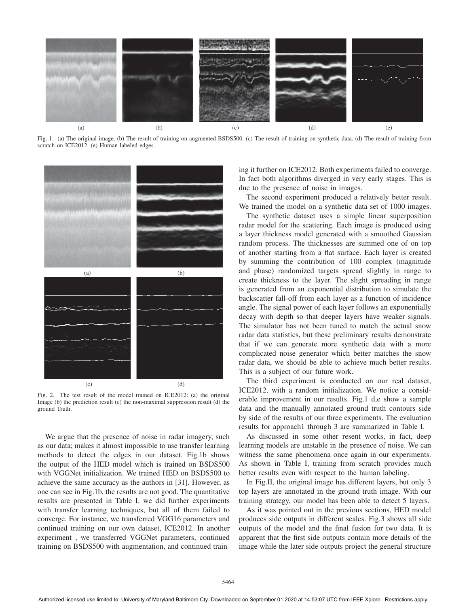

Fig. 1. (a) The original image. (b) The result of training on augmented BSDS500. (c) The result of training on synthetic data. (d) The result of training from scratch on ICE2012. (e) Human labeled edges.



Fig. 2. The test result of the model trained on ICE2012: (a) the original Image (b) the prediction result (c) the non-maximal suppression result (d) the ground Truth.

We argue that the presence of noise in radar imagery, such as our data; makes it almost impossible to use transfer learning methods to detect the edges in our dataset. Fig.1b shows the output of the HED model which is trained on BSDS500 with VGGNet initialization. We trained HED on BSDS500 to achieve the same accuracy as the authors in [31]. However, as one can see in Fig.1b, the results are not good. The quantitative results are presented in Table I. we did further experiments with transfer learning techniques, but all of them failed to converge. For instance, we transferred VGG16 parameters and continued training on our own dataset, ICE2012. In another experiment , we transferred VGGNet parameters, continued training on BSDS500 with augmentation, and continued training it further on ICE2012. Both experiments failed to converge. In fact both algorithms diverged in very early stages. This is due to the presence of noise in images.

The second experiment produced a relatively better result. We trained the model on a synthetic data set of 1000 images.

The synthetic dataset uses a simple linear superposition radar model for the scattering. Each image is produced using a layer thickness model generated with a smoothed Gaussian random process. The thicknesses are summed one of on top of another starting from a flat surface. Each layer is created by summing the contribution of 100 complex (magnitude and phase) randomized targets spread slightly in range to create thickness to the layer. The slight spreading in range is generated from an exponential distribution to simulate the backscatter fall-off from each layer as a function of incidence angle. The signal power of each layer follows an exponentially decay with depth so that deeper layers have weaker signals. The simulator has not been tuned to match the actual snow radar data statistics, but these preliminary results demonstrate that if we can generate more synthetic data with a more complicated noise generator which better matches the snow radar data, we should be able to achieve much better results. This is a subject of our future work.

The third experiment is conducted on our real dataset, ICE2012, with a random initialization. We notice a considerable improvement in our results. Fig.1 d,e show a sample data and the manually annotated ground truth contours side by side of the results of our three experiments. The evaluation results for approach1 through 3 are summarized in Table I.

As discussed in some other resent works, in fact, deep learning models are unstable in the presence of noise. We can witness the same phenomena once again in our experiments. As shown in Table I, training from scratch provides much better results even with respect to the human labeling.

In Fig.II, the original image has different layers, but only 3 top layers are annotated in the ground truth image. With our training strategy, our model has been able to detect 5 layers.

As it was pointed out in the previous sections, HED model produces side outputs in different scales. Fig.3 shows all side outputs of the model and the final fusion for two data. It is apparent that the first side outputs contain more details of the image while the later side outputs project the general structure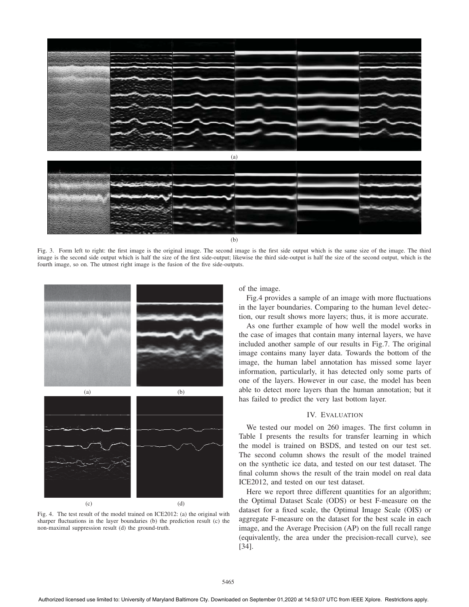

Fig. 3. Form left to right: the first image is the original image. The second image is the first side output which is the same size of the image. The third image is the second side output which is half the size of the first side-output; likewise the third side-output is half the size of the second output, which is the fourth image, so on. The utmost right image is the fusion of the five side-outputs.



Fig. 4. The test result of the model trained on ICE2012: (a) the original with sharper fluctuations in the layer boundaries (b) the prediction result (c) the non-maximal suppression result (d) the ground-truth.

of the image.

Fig.4 provides a sample of an image with more fluctuations in the layer boundaries. Comparing to the human level detection, our result shows more layers; thus, it is more accurate.

As one further example of how well the model works in the case of images that contain many internal layers, we have included another sample of our results in Fig.7. The original image contains many layer data. Towards the bottom of the image, the human label annotation has missed some layer information, particularly, it has detected only some parts of one of the layers. However in our case, the model has been able to detect more layers than the human annotation; but it has failed to predict the very last bottom layer.

# IV. EVALUATION

We tested our model on 260 images. The first column in Table I presents the results for transfer learning in which the model is trained on BSDS, and tested on our test set. The second column shows the result of the model trained on the synthetic ice data, and tested on our test dataset. The final column shows the result of the train model on real data ICE2012, and tested on our test dataset.

Here we report three different quantities for an algorithm; the Optimal Dataset Scale (ODS) or best F-measure on the dataset for a fixed scale, the Optimal Image Scale (OIS) or aggregate F-measure on the dataset for the best scale in each image, and the Average Precision (AP) on the full recall range (equivalently, the area under the precision-recall curve), see [34].

Authorized licensed use limited to: University of Maryland Baltimore Cty. Downloaded on September 01,2020 at 14:53:07 UTC from IEEE Xplore. Restrictions apply.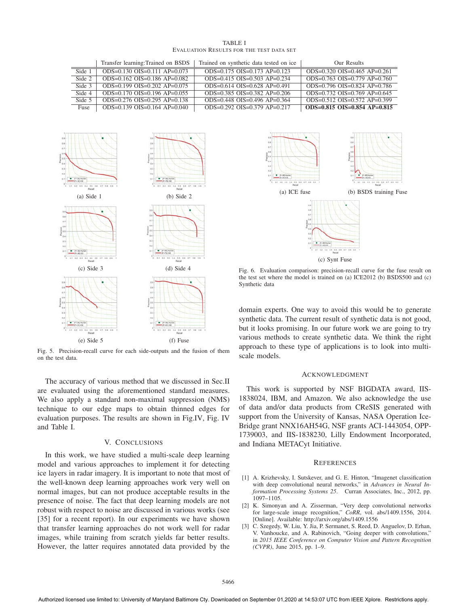|                                                 | TABLE I |  |  |
|-------------------------------------------------|---------|--|--|
| <b>EVALUATION RESULTS FOR THE TEST DATA SET</b> |         |  |  |

|        | Transfer learning: Trained on BSDS    | Trained on synthetic data tested on ice | Our Results                        |
|--------|---------------------------------------|-----------------------------------------|------------------------------------|
| Side 1 | $ODS=0.130$ $OIS=0.111$ $AP=0.073$    | $ODS=0.175$ $OIS=0.173$ $AP=0.123$      | $ODS=0.320$ $OIS=0.465$ $AP=0.261$ |
| Side 2 | $ODS=0.162$ $OIS=0.186$ $AP=0.082$    | $ODS=0.415$ $OIS=0.503$ $AP=0.234$      | $ODS=0.763$ $OIS=0.779$ $AP=0.760$ |
| Side 3 | ODS= $0.199$ OIS= $0.202$ AP= $0.075$ | $ODS=0.614$ $OIS=0.628$ $AP=0.491$      | $ODS=0.796$ $OIS=0.824$ $AP=0.786$ |
| Side 4 | $ODS=0.170$ $OIS=0.196$ $AP=0.055$    | $ODS=0.385$ $OIS=0.382$ $AP=0.206$      | $ODS=0.732$ $OIS=0.769$ $AP=0.645$ |
| Side 5 | $ODS=0.276$ $OIS=0.295$ $AP=0.138$    | $ODS=0.448$ $OIS=0.496$ $AP=0.364$      | ODS=0.512 OIS=0.572 AP=0.399       |
| Fuse   | $ODS=0.139$ $OIS=0.164$ $AP=0.040$    | $ODS=0.292$ $OIS=0.379$ $AP=0.217$      | $ODS=0.815$ $OIS=0.854$ AP=0.815   |



Fig. 5. Precision-recall curve for each side-outputs and the fusion of them on the test data.

The accuracy of various method that we discussed in Sec.II are evaluated using the aforementioned standard measures. We also apply a standard non-maximal suppression (NMS) technique to our edge maps to obtain thinned edges for evaluation purposes. The results are shown in Fig.IV, Fig. IV and Table I.

## V. CONCLUSIONS

In this work, we have studied a multi-scale deep learning model and various approaches to implement it for detecting ice layers in radar imagery. It is important to note that most of the well-known deep learning approaches work very well on normal images, but can not produce acceptable results in the presence of noise. The fact that deep learning models are not robust with respect to noise are discussed in various works (see [35] for a recent report). In our experiments we have shown that transfer learning approaches do not work well for radar images, while training from scratch yields far better results. However, the latter requires annotated data provided by the



Fig. 6. Evaluation comparison: precision-recall curve for the fuse result on the test set where the model is trained on (a) ICE2012 (b) BSDS500 and (c) Synthetic data

domain experts. One way to avoid this would be to generate synthetic data. The current result of synthetic data is not good, but it looks promising. In our future work we are going to try various methods to create synthetic data. We think the right approach to these type of applications is to look into multiscale models.

### ACKNOWLEDGMENT

This work is supported by NSF BIGDATA award, IIS-1838024, IBM, and Amazon. We also acknowledge the use of data and/or data products from CReSIS generated with support from the University of Kansas, NASA Operation Ice-Bridge grant NNX16AH54G, NSF grants ACI-1443054, OPP-1739003, and IIS-1838230, Lilly Endowment Incorporated, and Indiana METACyt Initiative.

#### **REFERENCES**

- [1] A. Krizhevsky, I. Sutskever, and G. E. Hinton, "Imagenet classification with deep convolutional neural networks," in *Advances in Neural Information Processing Systems 25*. Curran Associates, Inc., 2012, pp. 1097–1105.
- [2] K. Simonyan and A. Zisserman, "Very deep convolutional networks for large-scale image recognition," *CoRR*, vol. abs/1409.1556, 2014. [Online]. Available: http://arxiv.org/abs/1409.1556
- [3] C. Szegedy, W. Liu, Y. Jia, P. Sermanet, S. Reed, D. Anguelov, D. Erhan, V. Vanhoucke, and A. Rabinovich, "Going deeper with convolutions," in *2015 IEEE Conference on Computer Vision and Pattern Recognition (CVPR)*, June 2015, pp. 1–9.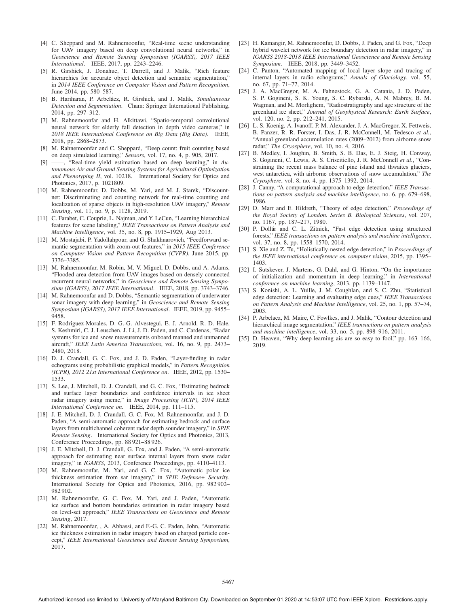- [4] C. Sheppard and M. Rahnemoonfar, "Real-time scene understanding for UAV imagery based on deep convolutional neural networks," in *Geoscience and Remote Sensing Symposium (IGARSS), 2017 IEEE International*. IEEE, 2017, pp. 2243–2246.
- [5] R. Girshick, J. Donahue, T. Darrell, and J. Malik, "Rich feature hierarchies for accurate object detection and semantic segmentation," in *2014 IEEE Conference on Computer Vision and Pattern Recognition*, June 2014, pp. 580–587.
- [6] B. Hariharan, P. Arbeláez, R. Girshick, and J. Malik, *Simultaneous Detection and Segmentation*. Cham: Springer International Publishing, 2014, pp. 297–312.
- [7] M. Rahnemoonfar and H. Alkittawi, "Spatio-temporal convolutional neural network for elderly fall detection in depth video cameras," in *2018 IEEE International Conference on Big Data (Big Data)*. IEEE, 2018, pp. 2868–2873.
- [8] M. Rahnemoonfar and C. Sheppard, "Deep count: fruit counting based on deep simulated learning," *Sensors*, vol. 17, no. 4, p. 905, 2017.
- [9] ——, "Real-time yield estimation based on deep learning," in *Autonomous Air and Ground Sensing Systems for Agricultural Optimization and Phenotyping II*, vol. 10218. International Society for Optics and Photonics, 2017, p. 1021809.
- [10] M. Rahnemoonfar, D. Dobbs, M. Yari, and M. J. Starek, "Discountnet: Discriminating and counting network for real-time counting and localization of sparse objects in high-resolution UAV imagery," *Remote Sensing*, vol. 11, no. 9, p. 1128, 2019.
- [11] C. Farabet, C. Couprie, L. Najman, and Y. LeCun, "Learning hierarchical features for scene labeling," *IEEE Transactions on Pattern Analysis and Machine Intelligence*, vol. 35, no. 8, pp. 1915–1929, Aug 2013.
- [12] M. Mostajabi, P. Yadollahpour, and G. Shakhnarovich, "Feedforward semantic segmentation with zoom-out features," in *2015 IEEE Conference on Computer Vision and Pattern Recognition (CVPR)*, June 2015, pp. 3376–3385.
- [13] M. Rahnemoonfar, M. Robin, M. V. Miguel, D. Dobbs, and A. Adams, "Flooded area detection from UAV images based on densely connected recurrent neural networks," in *Geoscience and Remote Sensing Symposium (IGARSS), 2017 IEEE International*. IEEE, 2018, pp. 3743–3746.
- [14] M. Rahnemoonfar and D. Dobbs, "Semantic segmentation of underwater sonar imagery with deep learning," in *Geoscience and Remote Sensing Symposium (IGARSS), 2017 IEEE International*. IEEE, 2019, pp. 9455– 9458.
- [15] F. Rodriguez-Morales, D. G.-G. Alvestegui, E. J. Arnold, R. D. Hale, S. Keshmiri, C. J. Leuschen, J. Li, J. D. Paden, and C. Cardenas, "Radar systems for ice and snow measurements onboard manned and unmanned aircraft," *IEEE Latin America Transactions*, vol. 16, no. 9, pp. 2473– 2480, 2018.
- [16] D. J. Crandall, G. C. Fox, and J. D. Paden, "Layer-finding in radar echograms using probabilistic graphical models," in *Pattern Recognition (ICPR), 2012 21st International Conference on*. IEEE, 2012, pp. 1530– 1533.
- [17] S. Lee, J. Mitchell, D. J. Crandall, and G. C. Fox, "Estimating bedrock and surface layer boundaries and confidence intervals in ice sheet radar imagery using mcmc," in *Image Processing (ICIP), 2014 IEEE International Conference on*. IEEE, 2014, pp. 111–115.
- [18] J. E. Mitchell, D. J. Crandall, G. C. Fox, M. Rahnemoonfar, and J. D. Paden, "A semi-automatic approach for estimating bedrock and surface layers from multichannel coherent radar depth sounder imagery," in *SPIE Remote Sensing*. International Society for Optics and Photonics, 2013, Conference Proceedings, pp. 88 921–88 926.
- [19] J. E. Mitchell, D. J. Crandall, G. Fox, and J. Paden, "A semi-automatic approach for estimating near surface internal layers from snow radar imagery," in *IGARSS*, 2013, Conference Proceedings, pp. 4110–4113.
- [20] M. Rahnemoonfar, M. Yari, and G. C. Fox, "Automatic polar ice thickness estimation from sar imagery," in *SPIE Defense+ Security*. International Society for Optics and Photonics, 2016, pp. 982 902– 982 902.
- [21] M. Rahnemoonfar, G. C. Fox, M. Yari, and J. Paden, "Automatic ice surface and bottom boundaries estimation in radar imagery based on level-set approach," *IEEE Transactions on Geoscience and Remote Sensing*, 2017.
- [22] M. Rahnemoonfar, , A. Abbassi, and F.-G. C. Paden, John, "Automatic ice thickness estimation in radar imagery based on charged particle concept," *IEEE International Geoscience and Remote Sensing Symposium*, 2017.
- [23] H. Kamangir, M. Rahnemoonfar, D. Dobbs, J. Paden, and G. Fox, "Deep hybrid wavelet network for ice boundary detection in radar imagery," in *IGARSS 2018-2018 IEEE International Geoscience and Remote Sensing Symposium*. IEEE, 2018, pp. 3449–3452.
- [24] C. Panton, "Automated mapping of local layer slope and tracing of internal layers in radio echograms," *Annals of Glaciology*, vol. 55, no. 67, pp. 71–77, 2014.
- [25] J. A. MacGregor, M. A. Fahnestock, G. A. Catania, J. D. Paden, S. P. Gogineni, S. K. Young, S. C. Rybarski, A. N. Mabrey, B. M. Wagman, and M. Morlighem, "Radiostratigraphy and age structure of the greenland ice sheet," *Journal of Geophysical Research: Earth Surface*, vol. 120, no. 2, pp. 212–241, 2015.
- [26] L. S. Koenig, A. Ivanoff, P. M. Alexander, J. A. MacGregor, X. Fettweis, B. Panzer, R. R. Forster, I. Das, J. R. McConnell, M. Tedesco *et al.*, "Annual greenland accumulation rates (2009–2012) from airborne snow radar," *The Cryosphere*, vol. 10, no. 4, 2016.
- [27] B. Medley, I. Joughin, B. Smith, S. B. Das, E. J. Steig, H. Conway, S. Gogineni, C. Lewis, A. S. Criscitiello, J. R. McConnell *et al.*, "Constraining the recent mass balance of pine island and thwaites glaciers, west antarctica, with airborne observations of snow accumulation," *The Cryosphere*, vol. 8, no. 4, pp. 1375–1392, 2014.
- [28] J. Canny, "A computational approach to edge detection," *IEEE Transactions on pattern analysis and machine intelligence*, no. 6, pp. 679–698, 1986.
- [29] D. Marr and E. Hildreth, "Theory of edge detection," *Proceedings of the Royal Society of London. Series B. Biological Sciences*, vol. 207, no. 1167, pp. 187–217, 1980.
- [30] P. Dollár and C. L. Zitnick, "Fast edge detection using structured forests," *IEEE transactions on pattern analysis and machine intelligence*, vol. 37, no. 8, pp. 1558–1570, 2014.
- [31] S. Xie and Z. Tu, "Holistically-nested edge detection," in *Proceedings of the IEEE international conference on computer vision*, 2015, pp. 1395– 1403.
- [32] I. Sutskever, J. Martens, G. Dahl, and G. Hinton, "On the importance of initialization and momentum in deep learning," in *International conference on machine learning*, 2013, pp. 1139–1147.
- [33] S. Konishi, A. L. Yuille, J. M. Coughlan, and S. C. Zhu, "Statistical edge detection: Learning and evaluating edge cues," *IEEE Transactions on Pattern Analysis and Machine Intelligence*, vol. 25, no. 1, pp. 57–74, 2003.
- [34] P. Arbelaez, M. Maire, C. Fowlkes, and J. Malik, "Contour detection and hierarchical image segmentation," *IEEE transactions on pattern analysis and machine intelligence*, vol. 33, no. 5, pp. 898–916, 2011.
- [35] D. Heaven, "Why deep-learning ais are so easy to fool," pp. 163–166, 2019.